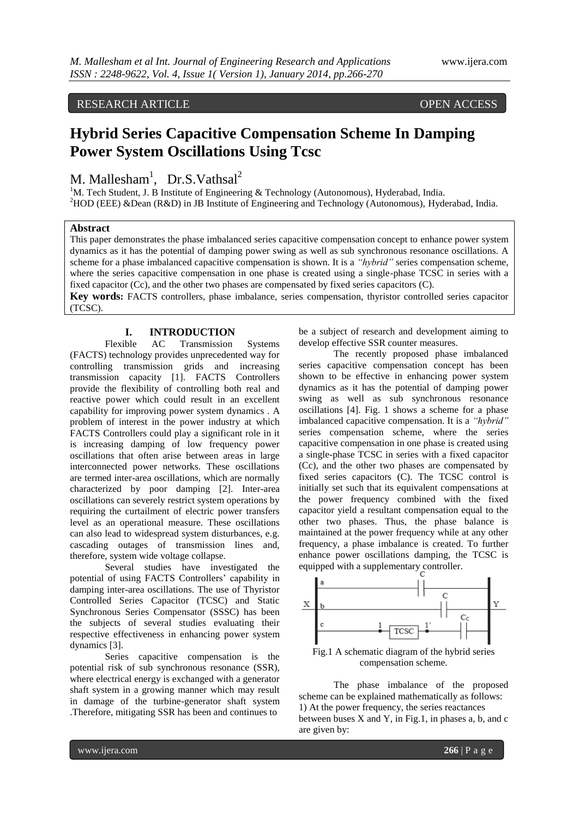RESEARCH ARTICLE OPEN ACCESS

# **Hybrid Series Capacitive Compensation Scheme In Damping Power System Oscillations Using Tcsc**

M. Mallesham<sup>1</sup>, Dr.S.Vathsal<sup>2</sup>

<sup>1</sup>M. Tech Student, J. B Institute of Engineering & Technology (Autonomous), Hyderabad, India. <sup>2</sup>HOD (EEE) &Dean (R&D) in JB Institute of Engineering and Technology (Autonomous), Hyderabad, India.

## **Abstract**

This paper demonstrates the phase imbalanced series capacitive compensation concept to enhance power system dynamics as it has the potential of damping power swing as well as sub synchronous resonance oscillations. A scheme for a phase imbalanced capacitive compensation is shown. It is a *"hybrid"* series compensation scheme, where the series capacitive compensation in one phase is created using a single-phase TCSC in series with a fixed capacitor (Cc), and the other two phases are compensated by fixed series capacitors (C).

**Key words:** FACTS controllers, phase imbalance, series compensation, thyristor controlled series capacitor (TCSC).

## **I. INTRODUCTION**

Flexible AC Transmission Systems (FACTS) technology provides unprecedented way for controlling transmission grids and increasing transmission capacity [1]. FACTS Controllers provide the flexibility of controlling both real and reactive power which could result in an excellent capability for improving power system dynamics . A problem of interest in the power industry at which FACTS Controllers could play a significant role in it is increasing damping of low frequency power oscillations that often arise between areas in large interconnected power networks. These oscillations are termed inter-area oscillations, which are normally characterized by poor damping [2]. Inter-area oscillations can severely restrict system operations by requiring the curtailment of electric power transfers level as an operational measure. These oscillations can also lead to widespread system disturbances, e.g. cascading outages of transmission lines and, therefore, system wide voltage collapse.

Several studies have investigated the potential of using FACTS Controllers' capability in damping inter-area oscillations. The use of Thyristor Controlled Series Capacitor (TCSC) and Static Synchronous Series Compensator (SSSC) has been the subjects of several studies evaluating their respective effectiveness in enhancing power system dynamics [3].

Series capacitive compensation is the potential risk of sub synchronous resonance (SSR), where electrical energy is exchanged with a generator shaft system in a growing manner which may result in damage of the turbine-generator shaft system .Therefore, mitigating SSR has been and continues to

be a subject of research and development aiming to develop effective SSR counter measures.

The recently proposed phase imbalanced series capacitive compensation concept has been shown to be effective in enhancing power system dynamics as it has the potential of damping power swing as well as sub synchronous resonance oscillations [4]. Fig. 1 shows a scheme for a phase imbalanced capacitive compensation. It is a *"hybrid"*  series compensation scheme, where the series capacitive compensation in one phase is created using a single-phase TCSC in series with a fixed capacitor (Cc), and the other two phases are compensated by fixed series capacitors (C). The TCSC control is initially set such that its equivalent compensations at the power frequency combined with the fixed capacitor yield a resultant compensation equal to the other two phases. Thus, the phase balance is maintained at the power frequency while at any other frequency, a phase imbalance is created. To further enhance power oscillations damping, the TCSC is equipped with a supplementary controller.



Fig.1 A schematic diagram of the hybrid series compensation scheme.

The phase imbalance of the proposed scheme can be explained mathematically as follows: 1) At the power frequency, the series reactances between buses  $X$  and  $Y$ , in Fig.1, in phases a, b, and  $c$ are given by: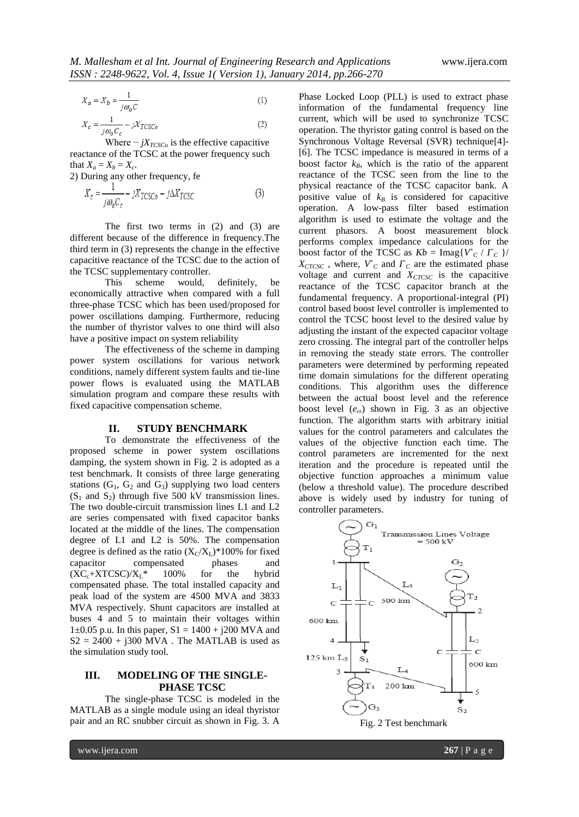$$
X_a = X_b = \frac{1}{j\omega_o C} \tag{1}
$$

$$
X_c = \frac{1}{j\omega_o C_c} - jX_{TCSCo}
$$
 (2)

Where  $-jX_{TCSCo}$  is the effective capacitive reactance of the TCSC at the power frequency such that  $X_a = X_b = X_c$ .

2) During any other frequency, fe

$$
X_c = \frac{1}{j\omega_e C_c} - jX_{TCSCo} - j\Delta X_{TCSC}
$$
 (3)

The first two terms in (2) and (3) are different because of the difference in frequency.The third term in (3) represents the change in the effective capacitive reactance of the TCSC due to the action of the TCSC supplementary controller.

This scheme would, definitely, be economically attractive when compared with a full three-phase TCSC which has been used/proposed for power oscillations damping. Furthermore, reducing the number of thyristor valves to one third will also have a positive impact on system reliability

The effectiveness of the scheme in damping power system oscillations for various network conditions, namely different system faults and tie-line power flows is evaluated using the MATLAB simulation program and compare these results with fixed capacitive compensation scheme.

### **II. STUDY BENCHMARK**

To demonstrate the effectiveness of the proposed scheme in power system oscillations damping, the system shown in Fig. 2 is adopted as a test benchmark. It consists of three large generating stations  $(G_1, G_2, G_3)$  supplying two load centers  $(S_1$  and  $S_2)$  through five 500 kV transmission lines. The two double-circuit transmission lines L1 and L2 are series compensated with fixed capacitor banks located at the middle of the lines. The compensation degree of L1 and L2 is 50%. The compensation degree is defined as the ratio  $(X_C/X_L)^*100\%$  for fixed capacitor compensated phases and  $(XC_c+XTCSC)/X_L^*$  100% for the hybrid compensated phase. The total installed capacity and peak load of the system are 4500 MVA and 3833 MVA respectively. Shunt capacitors are installed at buses 4 and 5 to maintain their voltages within 1 $\pm$ 0.05 p.u. In this paper, S1 = 1400 + j200 MVA and  $S2 = 2400 + j300$  MVA. The MATLAB is used as the simulation study tool.

## **III. MODELING OF THE SINGLE-PHASE TCSC**

The single-phase TCSC is modeled in the MATLAB as a single module using an ideal thyristor pair and an RC snubber circuit as shown in Fig. 3. A

Phase Locked Loop (PLL) is used to extract phase information of the fundamental frequency line current, which will be used to synchronize TCSC operation. The thyristor gating control is based on the Synchronous Voltage Reversal (SVR) technique[4]- [6]. The TCSC impedance is measured in terms of a boost factor  $k_B$ , which is the ratio of the apparent reactance of the TCSC seen from the line to the physical reactance of the TCSC capacitor bank. A positive value of  $k_B$  is considered for capacitive operation. A low-pass filter based estimation algorithm is used to estimate the voltage and the current phasors. A boost measurement block performs complex impedance calculations for the boost factor of the TCSC as  $Kb = \text{Imag}\{V_C / \Gamma_C\}$  $X<sub>CTCSC</sub>$ , where,  $V<sub>C</sub>$  and  $\Gamma<sub>C</sub>$  are the estimated phase voltage and current and *XCTCSC* is the capacitive reactance of the TCSC capacitor branch at the fundamental frequency. A proportional-integral (PI) control based boost level controller is implemented to control the TCSC boost level to the desired value by adjusting the instant of the expected capacitor voltage zero crossing. The integral part of the controller helps in removing the steady state errors. The controller parameters were determined by performing repeated time domain simulations for the different operating conditions. This algorithm uses the difference between the actual boost level and the reference boost level (*err*) shown in Fig. 3 as an objective function. The algorithm starts with arbitrary initial values for the control parameters and calculates the values of the objective function each time. The control parameters are incremented for the next iteration and the procedure is repeated until the objective function approaches a minimum value (below a threshold value). The procedure described above is widely used by industry for tuning of controller parameters.

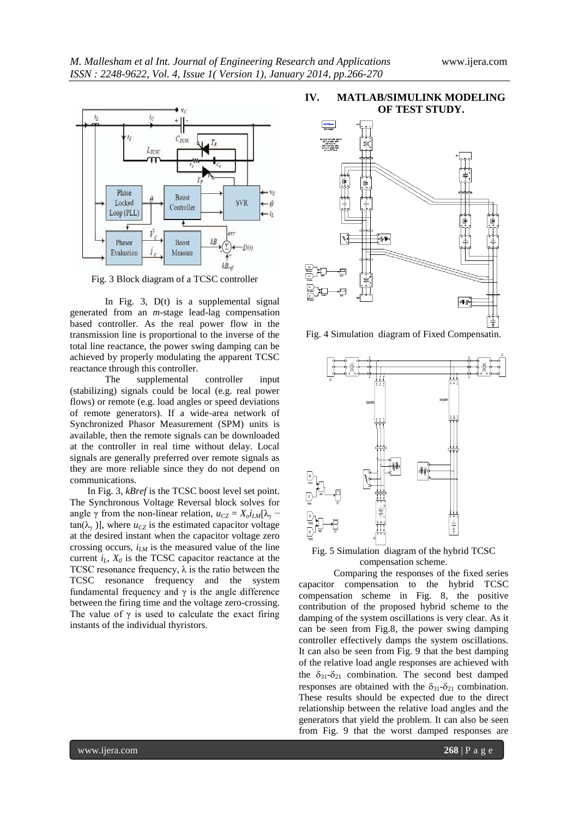

Fig. 3 Block diagram of a TCSC controller

In Fig. 3, D(t) is a supplemental signal generated from an *m*-stage lead-lag compensation based controller. As the real power flow in the transmission line is proportional to the inverse of the total line reactance, the power swing damping can be achieved by properly modulating the apparent TCSC reactance through this controller.

The supplemental controller input (stabilizing) signals could be local (e.g. real power flows) or remote (e.g. load angles or speed deviations of remote generators). If a wide-area network of Synchronized Phasor Measurement (SPM) units is available, then the remote signals can be downloaded at the controller in real time without delay. Local signals are generally preferred over remote signals as they are more reliable since they do not depend on communications.

In Fig. 3, *kBref* is the TCSC boost level set point. The Synchronous Voltage Reversal block solves for angle  $\gamma$  from the non-linear relation,  $u_{CZ} = X_o i_{LM}[\lambda_{\gamma}$  $tan(\lambda_{\gamma})$ ], where  $u_{CZ}$  is the estimated capacitor voltage at the desired instant when the capacitor voltage zero crossing occurs,  $i_{LM}$  is the measured value of the line current  $i_L$ ,  $X_0$  is the TCSC capacitor reactance at the TCSC resonance frequency,  $\lambda$  is the ratio between the TCSC resonance frequency and the system fundamental frequency and  $\gamma$  is the angle difference between the firing time and the voltage zero-crossing. The value of  $\gamma$  is used to calculate the exact firing instants of the individual thyristors.

### **IV. MATLAB/SIMULINK MODELING OF TEST STUDY.**



Fig. 4 Simulation diagram of Fixed Compensatin.



Fig. 5 Simulation diagram of the hybrid TCSC compensation scheme.

Comparing the responses of the fixed series capacitor compensation to the hybrid TCSC compensation scheme in Fig. 8, the positive contribution of the proposed hybrid scheme to the damping of the system oscillations is very clear. As it can be seen from Fig.8, the power swing damping controller effectively damps the system oscillations. It can also be seen from Fig. 9 that the best damping of the relative load angle responses are achieved with the  $\delta_{31}$ - $\delta_{21}$  combination. The second best damped responses are obtained with the  $\delta_{31}$ - $\delta_{21}$  combination. These results should be expected due to the direct relationship between the relative load angles and the generators that yield the problem. It can also be seen from Fig. 9 that the worst damped responses are

www.ijera.com **268** | P a g e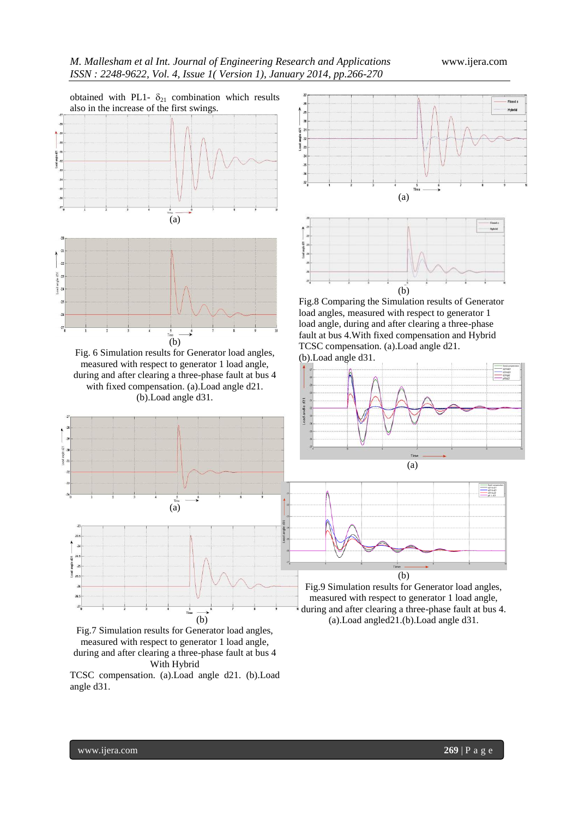



Fig.7 Simulation results for Generator load angles, measured with respect to generator 1 load angle, during and after clearing a three-phase fault at bus 4 With Hybrid

TCSC compensation. (a).Load angle d21. (b).Load angle d31.



Fig.8 Comparing the Simulation results of Generator load angles, measured with respect to generator 1 load angle, during and after clearing a three-phase fault at bus 4.With fixed compensation and Hybrid TCSC compensation. (a).Load angle d21. (b).Load angle d31.



Fig.9 Simulation results for Generator load angles, measured with respect to generator 1 load angle, during and after clearing a three-phase fault at bus 4. (a).Load angled21.(b).Load angle d31.